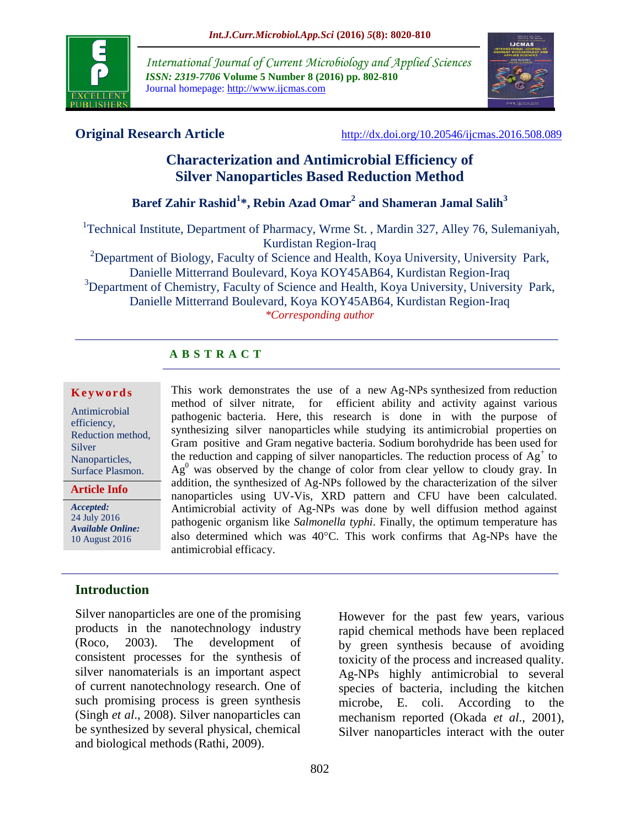

*International Journal of Current Microbiology and Applied Sciences ISSN: 2319-7706* **Volume 5 Number 8 (2016) pp. 802-810** Journal homepage: http://www.ijcmas.com



**Original Research Article** <http://dx.doi.org/10.20546/ijcmas.2016.508.089>

# **Characterization and Antimicrobial Efficiency of Silver Nanoparticles Based Reduction Method**

# **Baref Zahir Rashid<sup>1</sup> \*, Rebin Azad Omar<sup>2</sup> and Shameran Jamal Salih<sup>3</sup>**

<sup>1</sup>Technical Institute, Department of Pharmacy, Wrme St., Mardin 327, Alley 76, Sulemaniyah, Kurdistan Region-Iraq

<sup>2</sup>Department of Biology, Faculty of Science and Health, Koya University, University Park, Danielle Mitterrand Boulevard, Koya KOY45AB64, Kurdistan Region-Iraq <sup>3</sup>Department of Chemistry, Faculty of Science and Health, Koya University, University Park,

Danielle Mitterrand Boulevard, Koya KOY45AB64, Kurdistan Region-Iraq *\*Corresponding author*

## **A B S T R A C T**

#### **K e y w o r d s**

Antimicrobial efficiency, Reduction method, Silver Nanoparticles, Surface Plasmon.

**Article Info**

*Accepted:*  24 July 2016 *Available Online:* 10 August 2016

## **Introduction**

Silver nanoparticles are one of the promising products in the nanotechnology industry (Roco, 2003). The development of consistent processes for the synthesis of silver nanomaterials is an important aspect of current nanotechnology research. One of such promising process is green synthesis (Singh *et al*., 2008). Silver nanoparticles can be synthesized by several physical, chemical and biological methods(Rathi, 2009).

This work demonstrates the use of a new Ag-NPs synthesized from reduction method of silver nitrate, for efficient ability and activity against various pathogenic bacteria. Here, this research is done in with the purpose of synthesizing silver nanoparticles while studying its antimicrobial properties on Gram positive and Gram negative bacteria. Sodium borohydride has been used for the reduction and capping of silver nanoparticles. The reduction process of  $Ag<sup>+</sup>$  to  $Ag<sup>0</sup>$  was observed by the change of color from clear yellow to cloudy gray. In addition, the synthesized of Ag-NPs followed by the characterization of the silver nanoparticles using UV-Vis, XRD pattern and CFU have been calculated. Antimicrobial activity of Ag-NPs was done by well diffusion method against pathogenic organism like *Salmonella typhi*. Finally, the optimum temperature has also determined which was 40°C. This work confirms that Ag-NPs have the antimicrobial efficacy.

> However for the past few years, various rapid chemical methods have been replaced by green synthesis because of avoiding toxicity of the process and increased quality. Ag-NPs highly antimicrobial to several species of bacteria, including the kitchen microbe, E. coli. According to the mechanism reported (Okada *et al*., 2001), Silver nanoparticles interact with the outer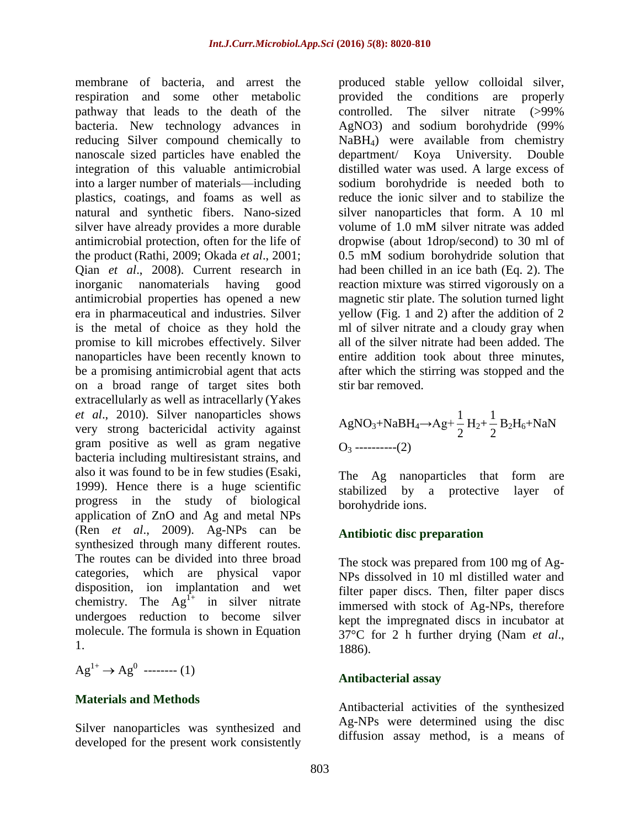membrane of bacteria, and arrest the respiration and some other metabolic pathway that leads to the death of the bacteria. New technology advances in reducing Silver compound chemically to nanoscale sized particles have enabled the integration of this valuable antimicrobial into a larger number of materials—including plastics, coatings, and foams as well as natural and synthetic fibers. Nano-sized silver have already provides a more durable antimicrobial protection, often for the life of the product (Rathi, 2009; Okada *et al*., 2001; Qian *et al*., 2008). Current research in inorganic nanomaterials having good antimicrobial properties has opened a new era in pharmaceutical and industries. Silver is the metal of choice as they hold the promise to kill microbes effectively. Silver nanoparticles have been recently known to be a promising antimicrobial agent that acts on a broad range of target sites both extracellularly as well as intracellarly (Yakes *et al*., 2010). Silver nanoparticles shows very strong bactericidal activity against gram positive as well as gram negative bacteria including multiresistant strains, and also it was found to be in few studies (Esaki, 1999). Hence there is a huge scientific progress in the study of biological application of ZnO and Ag and metal NPs (Ren *et al*., 2009). Ag-NPs can be synthesized through many different routes. The routes can be divided into three broad categories, which are physical vapor disposition, ion implantation and wet chemistry. The  $Ag<sup>f+</sup>$  in silver nitrate undergoes reduction to become silver molecule. The formula is shown in Equation 1.

 $\text{Ag}^{1+} \to \text{Ag}^{0}$  -------- (1)

#### **Materials and Methods**

Silver nanoparticles was synthesized and developed for the present work consistently

produced stable yellow colloidal silver, provided the conditions are properly controlled. The silver nitrate (>99% AgNO3) and sodium borohydride (99% NaBH4) were available from chemistry department/ Koya University. Double distilled water was used. A large excess of sodium borohydride is needed both to reduce the ionic silver and to stabilize the silver nanoparticles that form. A 10 ml volume of 1.0 mM silver nitrate was added dropwise (about 1drop/second) to 30 ml of 0.5 mM sodium borohydride solution that had been chilled in an ice bath (Eq. 2). The reaction mixture was stirred vigorously on a magnetic stir plate. The solution turned light yellow (Fig. 1 and 2) after the addition of 2 ml of silver nitrate and a cloudy gray when all of the silver nitrate had been added. The entire addition took about three minutes, after which the stirring was stopped and the stir bar removed.

AgNO<sub>3</sub>+NaBH<sub>4</sub>→Ag+
$$
\frac{1}{2}
$$
H<sub>2</sub>+ $\frac{1}{2}$ B<sub>2</sub>H<sub>6</sub>+NaN  
O<sub>3</sub>-----(2)

The Ag nanoparticles that form are stabilized by a protective layer of borohydride ions.

#### **Antibiotic disc preparation**

The stock was prepared from 100 mg of Ag-NPs dissolved in 10 ml distilled water and filter paper discs. Then, filter paper discs immersed with stock of Ag-NPs, therefore kept the impregnated discs in incubator at 37°C for 2 h further drying (Nam *et al*., 1886).

#### **Antibacterial assay**

Antibacterial activities of the synthesized Ag-NPs were determined using the disc diffusion assay method, is a means of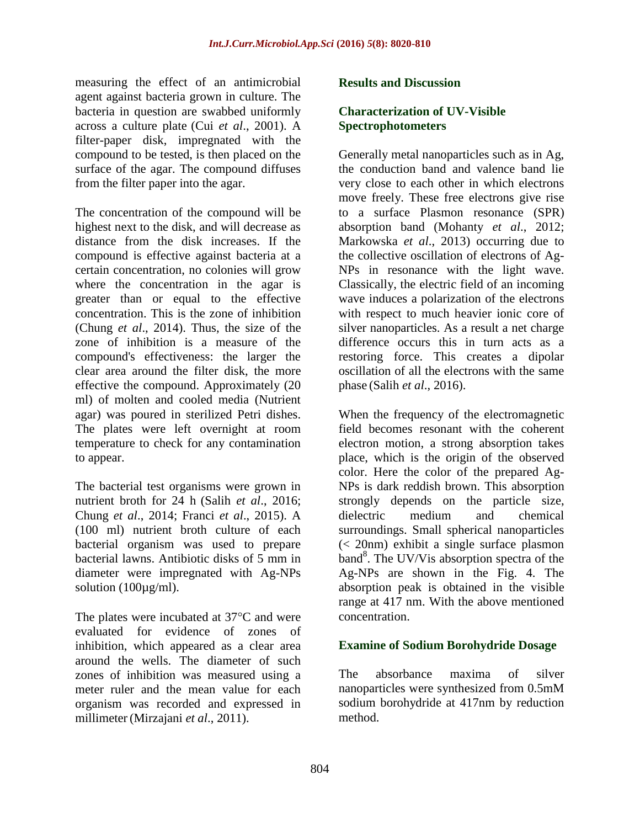measuring the effect of an antimicrobial agent against bacteria grown in culture. The bacteria in question are swabbed uniformly across a culture plate (Cui *et al*., 2001). A filter-paper disk, impregnated with the compound to be tested, is then placed on the surface of the agar. The compound diffuses from the filter paper into the agar.

The concentration of the compound will be highest next to the disk, and will decrease as distance from the disk increases. If the compound is effective against bacteria at a certain concentration, no colonies will grow where the concentration in the agar is greater than or equal to the effective concentration. This is the zone of inhibition (Chung *et al*., 2014). Thus, the size of the zone of inhibition is a measure of the compound's effectiveness: the larger the clear area around the filter disk, the more effective the compound. Approximately (20 ml) of molten and cooled media (Nutrient agar) was poured in sterilized Petri dishes. The plates were left overnight at room temperature to check for any contamination to appear.

The bacterial test organisms were grown in nutrient broth for 24 h (Salih *et al*., 2016; Chung *et al*., 2014; Franci *et al*., 2015). A (100 ml) nutrient broth culture of each bacterial organism was used to prepare bacterial lawns. Antibiotic disks of 5 mm in diameter were impregnated with Ag-NPs solution  $(100\mu\text{g/ml})$ .

The plates were incubated at  $37^{\circ}$ C and were evaluated for evidence of zones of inhibition, which appeared as a clear area around the wells. The diameter of such zones of inhibition was measured using a meter ruler and the mean value for each organism was recorded and expressed in millimeter (Mirzajani *et al*., 2011).

## **Results and Discussion**

## **Characterization of UV-Visible Spectrophotometers**

Generally metal nanoparticles such as in Ag, the conduction band and valence band lie very close to each other in which electrons move freely. These free electrons give rise to a surface Plasmon resonance (SPR) absorption band (Mohanty *et al*., 2012; Markowska *et al*., 2013) occurring due to the collective oscillation of electrons of Ag-NPs in resonance with the light wave. Classically, the electric field of an incoming wave induces a polarization of the electrons with respect to much heavier ionic core of silver nanoparticles. As a result a net charge difference occurs this in turn acts as a restoring force. This creates a dipolar oscillation of all the electrons with the same phase (Salih *et al*., 2016).

When the frequency of the electromagnetic field becomes resonant with the coherent electron motion, a strong absorption takes place, which is the origin of the observed color. Here the color of the prepared Ag-NPs is dark reddish brown. This absorption strongly depends on the particle size, dielectric medium and chemical surroundings. Small spherical nanoparticles (< 20nm) exhibit a single surface plasmon band<sup>8</sup>. The UV/Vis absorption spectra of the Ag-NPs are shown in the Fig. 4. The absorption peak is obtained in the visible range at 417 nm. With the above mentioned concentration.

## **Examine of Sodium Borohydride Dosage**

The absorbance maxima of silver nanoparticles were synthesized from 0.5mM sodium borohydride at 417nm by reduction method.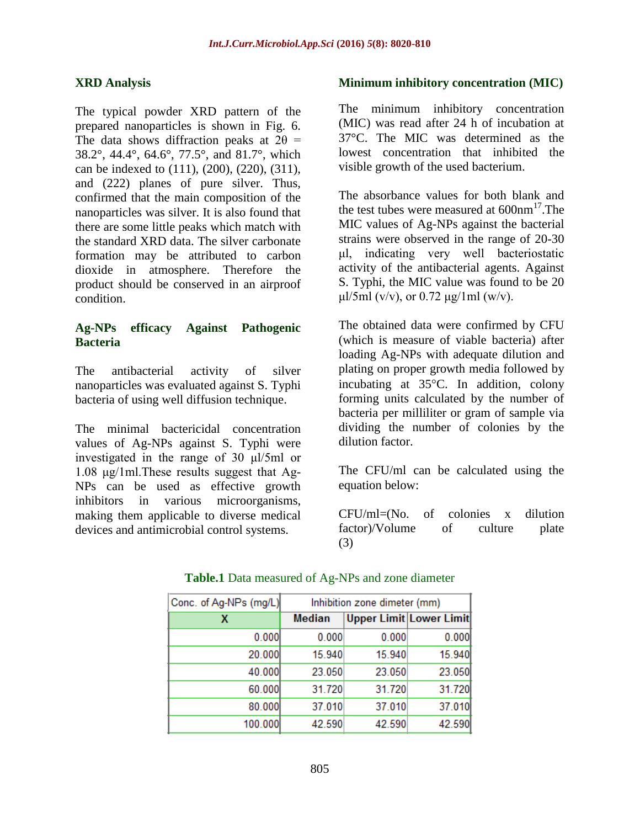## **XRD Analysis**

The typical powder XRD pattern of the prepared nanoparticles is shown in Fig. 6. The data shows diffraction peaks at  $2\theta$  = 38.2°, 44.4°, 64.6°, 77.5°, and 81.7°, which can be indexed to (111), (200), (220), (311), and (222) planes of pure silver. Thus, confirmed that the main composition of the nanoparticles was silver. It is also found that there are some little peaks which match with the standard XRD data. The silver carbonate formation may be attributed to carbon dioxide in atmosphere. Therefore the product should be conserved in an airproof condition.

## **Ag-NPs efficacy Against Pathogenic Bacteria**

The antibacterial activity of silver nanoparticles was evaluated against S. Typhi bacteria of using well diffusion technique.

The minimal bactericidal concentration values of Ag-NPs against S. Typhi were investigated in the range of 30 μl/5ml or 1.08 μg/1ml.These results suggest that Ag-NPs can be used as effective growth inhibitors in various microorganisms, making them applicable to diverse medical devices and antimicrobial control systems.

#### **Minimum inhibitory concentration (MIC)**

The minimum inhibitory concentration (MIC) was read after 24 h of incubation at 37°C. The MIC was determined as the lowest concentration that inhibited the visible growth of the used bacterium.

The absorbance values for both blank and the test tubes were measured at  $600 \text{nm}^{17}$ . The MIC values of Ag-NPs against the bacterial strains were observed in the range of 20-30 μl, indicating very well bacteriostatic activity of the antibacterial agents. Against S. Typhi, the MIC value was found to be 20 μl/5ml (v/v), or 0.72 μg/1ml (w/v).

The obtained data were confirmed by CFU (which is measure of viable bacteria) after loading Ag-NPs with adequate dilution and plating on proper growth media followed by incubating at  $35^{\circ}$ C. In addition, colony forming units calculated by the number of bacteria per milliliter or gram of sample via dividing the number of colonies by the dilution factor.

The CFU/ml can be calculated using the equation below:

CFU/ml=(No. of colonies x dilution factor)/Volume of culture plate (3)

| Conc. of Ag-NPs (mg/L) | Inhibition zone dimeter (mm) |        |                                |
|------------------------|------------------------------|--------|--------------------------------|
| x                      | <b>Median</b>                |        | <b>Upper Limit Lower Limit</b> |
| 0.000                  | 0.000                        | 0.000  | 0.000                          |
| 20.000                 | 15.940                       | 15.940 | 15.940                         |
| 40.000                 | 23.050                       | 23.050 | 23.050                         |
| 60.000                 | 31.720                       | 31.720 | 31.720                         |
| 80.000                 | 37.010                       | 37.010 | 37.010                         |
| 100.000                | 42.590                       | 42.590 | 42.590                         |

## **Table.1** Data measured of Ag-NPs and zone diameter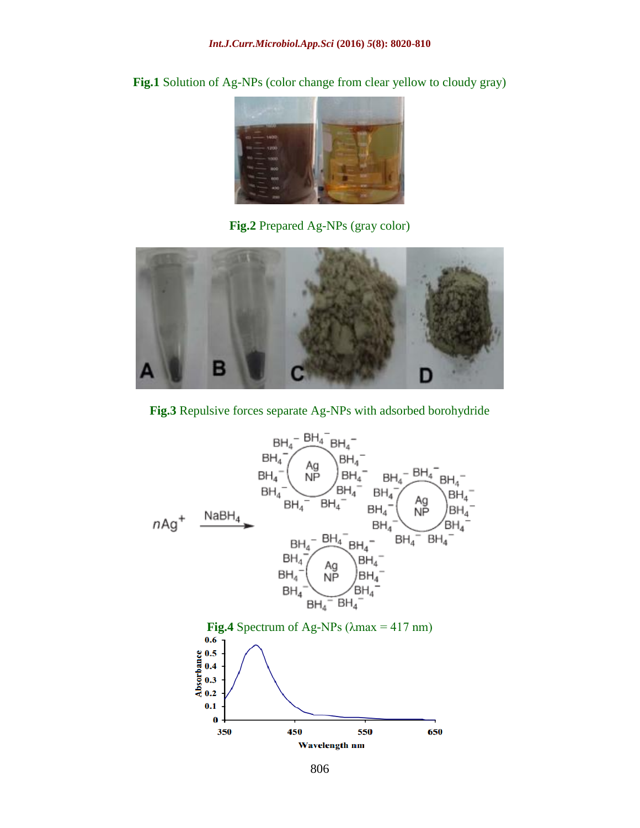

Fig.1 Solution of Ag-NPs (color change from clear yellow to cloudy gray)

**Fig.2** Prepared Ag-NPs (gray color)



**Fig.3** Repulsive forces separate Ag-NPs with adsorbed borohydride

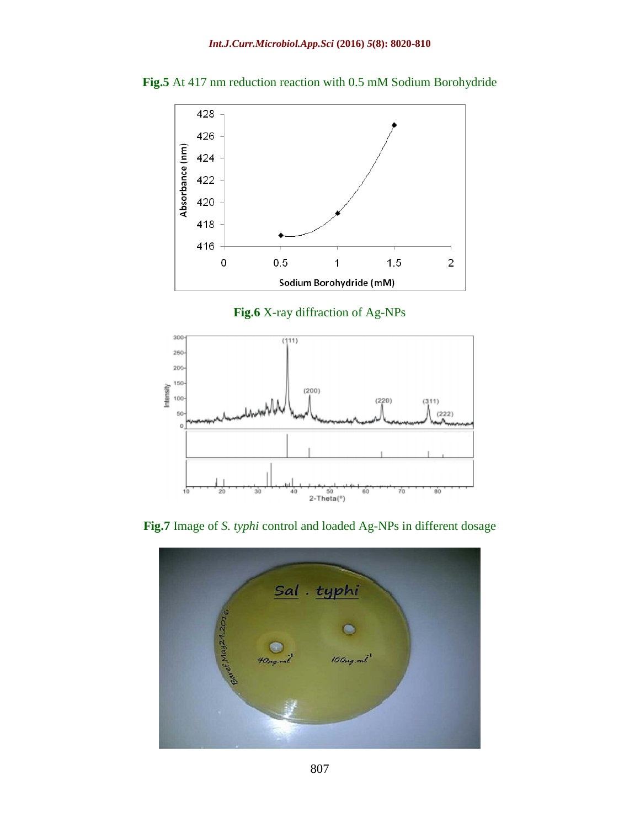

**Fig.5** At 417 nm reduction reaction with 0.5 mM Sodium Borohydride





**Fig.7** Image of *S. typhi* control and loaded Ag-NPs in different dosage

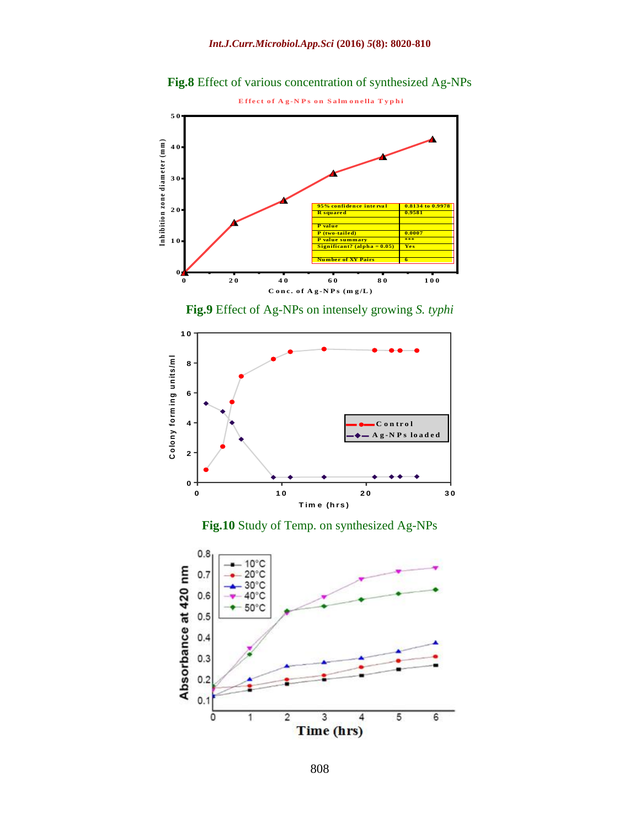

**Fig.8** Effect of various concentration of synthesized Ag-NPs





**Fig.10** Study of Temp. on synthesized Ag-NPs

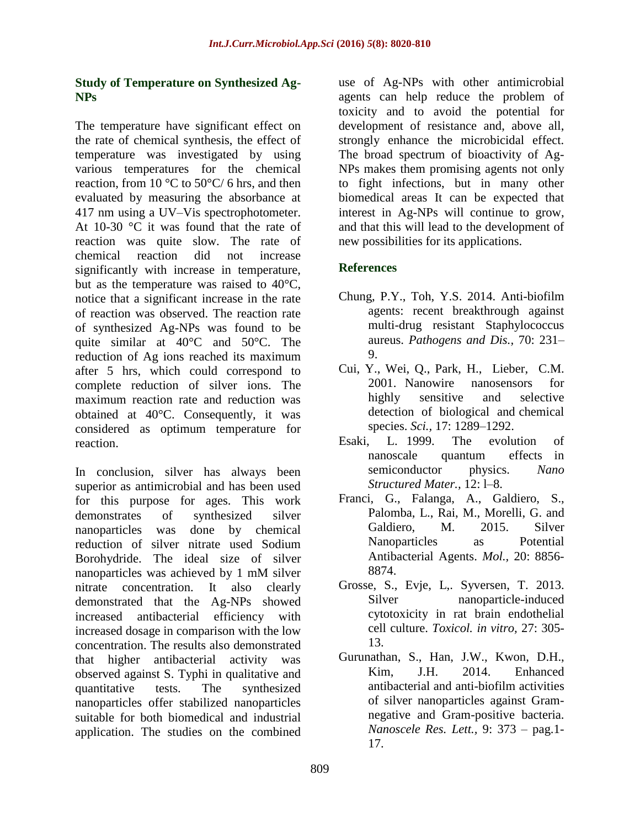## **Study of Temperature on Synthesized Ag-NPs**

The temperature have significant effect on the rate of chemical synthesis, the effect of temperature was investigated by using various temperatures for the chemical reaction, from 10  $\rm{°C}$  to 50 $\rm{°C/6}$  hrs, and then evaluated by measuring the absorbance at 417 nm using a UV–Vis spectrophotometer. At 10-30 °C it was found that the rate of reaction was quite slow. The rate of chemical reaction did not increase significantly with increase in temperature, but as the temperature was raised to 40°C, notice that a significant increase in the rate of reaction was observed. The reaction rate of synthesized Ag-NPs was found to be quite similar at 40°C and 50°C. The reduction of Ag ions reached its maximum after 5 hrs, which could correspond to complete reduction of silver ions. The maximum reaction rate and reduction was obtained at 40°C. Consequently, it was considered as optimum temperature for reaction.

In conclusion, silver has always been superior as antimicrobial and has been used for this purpose for ages. This work demonstrates of synthesized silver nanoparticles was done by chemical reduction of silver nitrate used Sodium Borohydride. The ideal size of silver nanoparticles was achieved by 1 mM silver nitrate concentration. It also clearly demonstrated that the Ag-NPs showed increased antibacterial efficiency with increased dosage in comparison with the low concentration. The results also demonstrated that higher antibacterial activity was observed against S. Typhi in qualitative and quantitative tests. The synthesized nanoparticles offer stabilized nanoparticles suitable for both biomedical and industrial application. The studies on the combined use of Ag-NPs with other antimicrobial agents can help reduce the problem of toxicity and to avoid the potential for development of resistance and, above all, strongly enhance the microbicidal effect. The broad spectrum of bioactivity of Ag-NPs makes them promising agents not only to fight infections, but in many other biomedical areas It can be expected that interest in Ag-NPs will continue to grow, and that this will lead to the development of new possibilities for its applications.

# **References**

- Chung, P.Y., Toh, Y.S. 2014. Anti-biofilm agents: recent breakthrough against multi-drug resistant Staphylococcus aureus. *Pathogens and Dis.,* 70: 231– 9.
- Cui, Y., Wei, Q., Park, H., Lieber, C.M. 2001. Nanowire nanosensors for highly sensitive and selective detection of biological and chemical species. *Sci.,* 17: 1289–1292.
- Esaki, L. 1999. The evolution of nanoscale quantum effects in semiconductor physics. *Nano Structured Mater.,* 12: l–8.
- Franci, G., Falanga, A., Galdiero, S., Palomba, L., Rai, M., Morelli, G. and Galdiero, M. 2015. Silver Nanoparticles as Potential Antibacterial Agents. *Mol.,* 20: 8856- 8874.
- Grosse, S., Evje, L,. Syversen, T. 2013. Silver nanoparticle-induced cytotoxicity in rat brain endothelial cell culture. *Toxicol. in vitro,* 27: 305- 13.
- Gurunathan, S., Han, J.W., Kwon, D.H., Kim, J.H. 2014. Enhanced antibacterial and anti-biofilm activities of silver nanoparticles against Gramnegative and Gram-positive bacteria. *Nanoscele Res. Lett.,* 9: 373 – pag.1- 17.